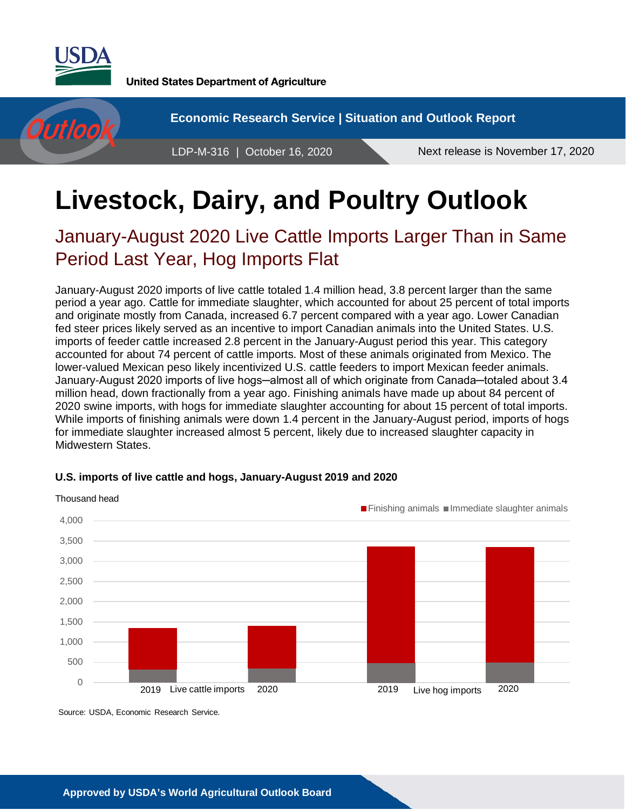

**United States Department of Agriculture** 

**Economic Research Service | Situation and Outlook Report** Outloo LDP-M-316 | October 16, 2020 Next release is November 17, 2020

# **Livestock, Dairy, and Poultry Outlook**

## January-August 2020 Live Cattle Imports Larger Than in Same Period Last Year, Hog Imports Flat

January-August 2020 imports of live cattle totaled 1.4 million head, 3.8 percent larger than the same period a year ago. Cattle for immediate slaughter, which accounted for about 25 percent of total imports and originate mostly from Canada, increased 6.7 percent compared with a year ago. Lower Canadian fed steer prices likely served as an incentive to import Canadian animals into the United States. U.S. imports of feeder cattle increased 2.8 percent in the January-August period this year. This category accounted for about 74 percent of cattle imports. Most of these animals originated from Mexico. The lower-valued Mexican peso likely incentivized U.S. cattle feeders to import Mexican feeder animals. January-August 2020 imports of live hogs—almost all of which originate from Canada—totaled about 3.4 million head, down fractionally from a year ago. Finishing animals have made up about 84 percent of 2020 swine imports, with hogs for immediate slaughter accounting for about 15 percent of total imports. While imports of finishing animals were down 1.4 percent in the January-August period, imports of hogs for immediate slaughter increased almost 5 percent, likely due to increased slaughter capacity in Midwestern States.



#### **U.S. imports of live cattle and hogs, January-August 2019 and 2020**

Source: USDA, Economic Research Service.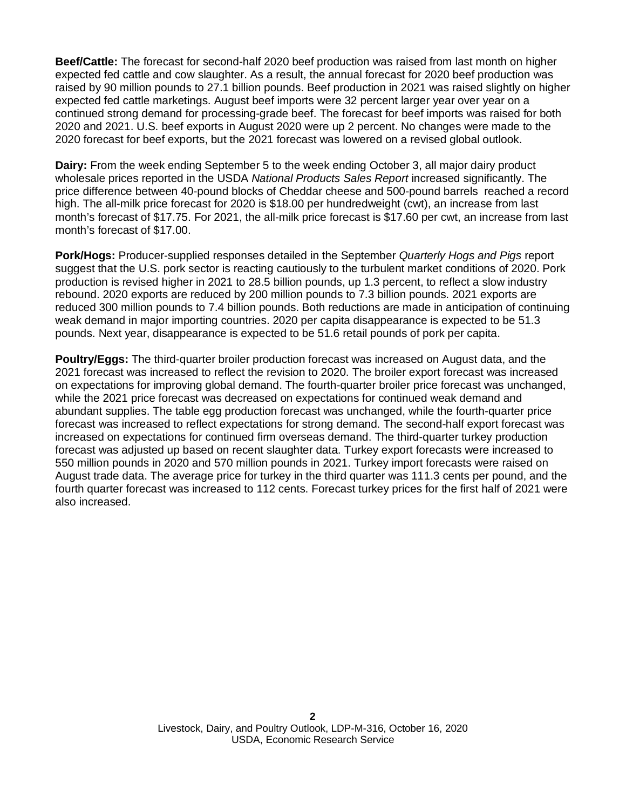**Beef/Cattle:** The forecast for second-half 2020 beef production was raised from last month on higher expected fed cattle and cow slaughter. As a result, the annual forecast for 2020 beef production was raised by 90 million pounds to 27.1 billion pounds. Beef production in 2021 was raised slightly on higher expected fed cattle marketings. August beef imports were 32 percent larger year over year on a continued strong demand for processing-grade beef. The forecast for beef imports was raised for both 2020 and 2021. U.S. beef exports in August 2020 were up 2 percent. No changes were made to the 2020 forecast for beef exports, but the 2021 forecast was lowered on a revised global outlook.

**Dairy:** From the week ending September 5 to the week ending October 3, all major dairy product wholesale prices reported in the USDA *National Products Sales Report* increased significantly. The price difference between 40-pound blocks of Cheddar cheese and 500-pound barrels reached a record high. The all-milk price forecast for 2020 is \$18.00 per hundredweight (cwt), an increase from last month's forecast of \$17.75. For 2021, the all-milk price forecast is \$17.60 per cwt, an increase from last month's forecast of \$17.00.

**Pork/Hogs:** Producer-supplied responses detailed in the September *Quarterly Hogs and Pigs* report suggest that the U.S. pork sector is reacting cautiously to the turbulent market conditions of 2020. Pork production is revised higher in 2021 to 28.5 billion pounds, up 1.3 percent, to reflect a slow industry rebound. 2020 exports are reduced by 200 million pounds to 7.3 billion pounds. 2021 exports are reduced 300 million pounds to 7.4 billion pounds. Both reductions are made in anticipation of continuing weak demand in major importing countries. 2020 per capita disappearance is expected to be 51.3 pounds. Next year, disappearance is expected to be 51.6 retail pounds of pork per capita.

**Poultry/Eggs:** The third-quarter broiler production forecast was increased on August data, and the 2021 forecast was increased to reflect the revision to 2020. The broiler export forecast was increased on expectations for improving global demand. The fourth-quarter broiler price forecast was unchanged, while the 2021 price forecast was decreased on expectations for continued weak demand and abundant supplies. The table egg production forecast was unchanged, while the fourth-quarter price forecast was increased to reflect expectations for strong demand. The second-half export forecast was increased on expectations for continued firm overseas demand. The third-quarter turkey production forecast was adjusted up based on recent slaughter data. Turkey export forecasts were increased to 550 million pounds in 2020 and 570 million pounds in 2021. Turkey import forecasts were raised on August trade data. The average price for turkey in the third quarter was 111.3 cents per pound, and the fourth quarter forecast was increased to 112 cents. Forecast turkey prices for the first half of 2021 were also increased.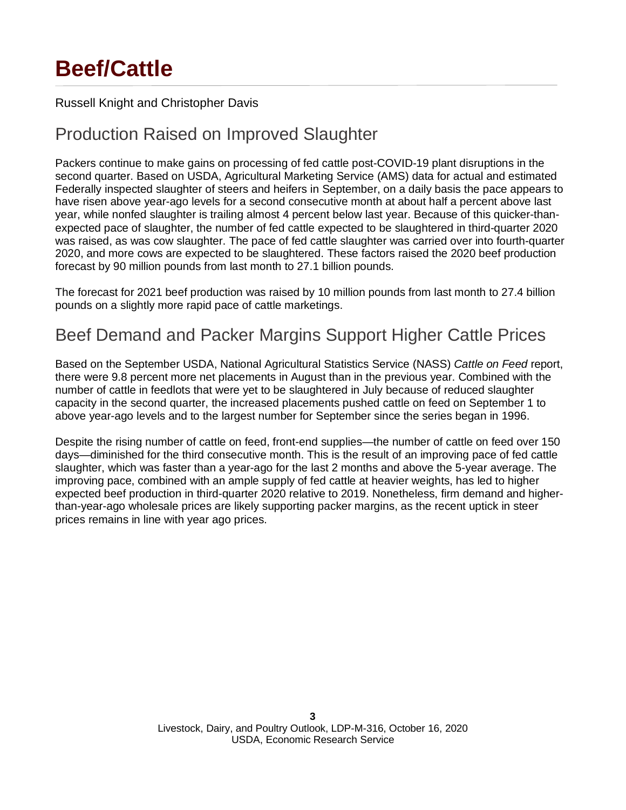# **Beef/Cattle**

### Russell Knight and Christopher Davis

### Production Raised on Improved Slaughter

Packers continue to make gains on processing of fed cattle post-COVID-19 plant disruptions in the second quarter. Based on USDA, Agricultural Marketing Service (AMS) data for actual and estimated Federally inspected slaughter of steers and heifers in September, on a daily basis the pace appears to have risen above year-ago levels for a second consecutive month at about half a percent above last year, while nonfed slaughter is trailing almost 4 percent below last year. Because of this quicker-thanexpected pace of slaughter, the number of fed cattle expected to be slaughtered in third-quarter 2020 was raised, as was cow slaughter. The pace of fed cattle slaughter was carried over into fourth-quarter 2020, and more cows are expected to be slaughtered. These factors raised the 2020 beef production forecast by 90 million pounds from last month to 27.1 billion pounds.

The forecast for 2021 beef production was raised by 10 million pounds from last month to 27.4 billion pounds on a slightly more rapid pace of cattle marketings.

### Beef Demand and Packer Margins Support Higher Cattle Prices

Based on the September USDA, National Agricultural Statistics Service (NASS) *Cattle on Feed* report, there were 9.8 percent more net placements in August than in the previous year. Combined with the number of cattle in feedlots that were yet to be slaughtered in July because of reduced slaughter capacity in the second quarter, the increased placements pushed cattle on feed on September 1 to above year-ago levels and to the largest number for September since the series began in 1996.

Despite the rising number of cattle on feed, front-end supplies—the number of cattle on feed over 150 days—diminished for the third consecutive month. This is the result of an improving pace of fed cattle slaughter, which was faster than a year-ago for the last 2 months and above the 5-year average. The improving pace, combined with an ample supply of fed cattle at heavier weights, has led to higher expected beef production in third-quarter 2020 relative to 2019. Nonetheless, firm demand and higherthan-year-ago wholesale prices are likely supporting packer margins, as the recent uptick in steer prices remains in line with year ago prices.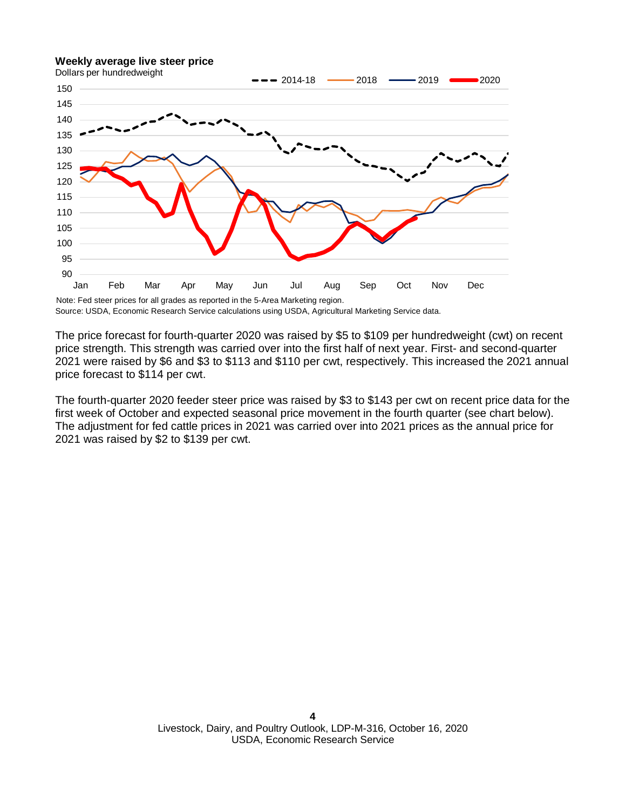#### **Weekly average live steer price**



Source: USDA, Economic Research Service calculations using USDA, Agricultural Marketing Service data.

The price forecast for fourth-quarter 2020 was raised by \$5 to \$109 per hundredweight (cwt) on recent price strength. This strength was carried over into the first half of next year. First- and second-quarter 2021 were raised by \$6 and \$3 to \$113 and \$110 per cwt, respectively. This increased the 2021 annual price forecast to \$114 per cwt.

The fourth-quarter 2020 feeder steer price was raised by \$3 to \$143 per cwt on recent price data for the first week of October and expected seasonal price movement in the fourth quarter (see chart below). The adjustment for fed cattle prices in 2021 was carried over into 2021 prices as the annual price for 2021 was raised by \$2 to \$139 per cwt.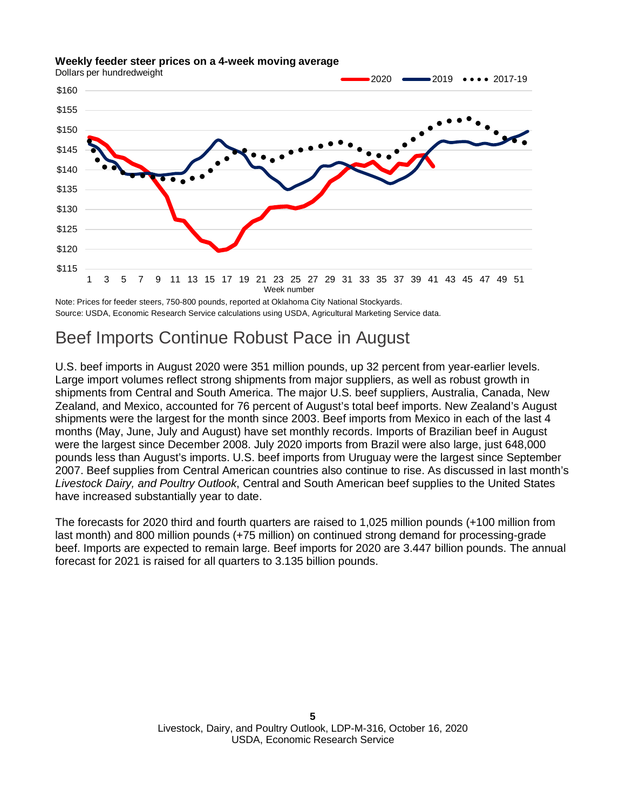#### **Weekly feeder steer prices on a 4-week moving average**

Dollars per hundredweight



Source: USDA, Economic Research Service calculations using USDA, Agricultural Marketing Service data. Note: Prices for feeder steers, 750-800 pounds, reported at Oklahoma City National Stockyards.

### Beef Imports Continue Robust Pace in August

U.S. beef imports in August 2020 were 351 million pounds, up 32 percent from year-earlier levels. Large import volumes reflect strong shipments from major suppliers, as well as robust growth in shipments from Central and South America. The major U.S. beef suppliers, Australia, Canada, New Zealand, and Mexico, accounted for 76 percent of August's total beef imports. New Zealand's August shipments were the largest for the month since 2003. Beef imports from Mexico in each of the last 4 months (May, June, July and August) have set monthly records. Imports of Brazilian beef in August were the largest since December 2008. July 2020 imports from Brazil were also large, just 648,000 pounds less than August's imports. U.S. beef imports from Uruguay were the largest since September 2007. Beef supplies from Central American countries also continue to rise. As discussed in last month's *Livestock Dairy, and Poultry Outlook*, Central and South American beef supplies to the United States have increased substantially year to date.

The forecasts for 2020 third and fourth quarters are raised to 1,025 million pounds (+100 million from last month) and 800 million pounds (+75 million) on continued strong demand for processing-grade beef. Imports are expected to remain large. Beef imports for 2020 are 3.447 billion pounds. The annual forecast for 2021 is raised for all quarters to 3.135 billion pounds.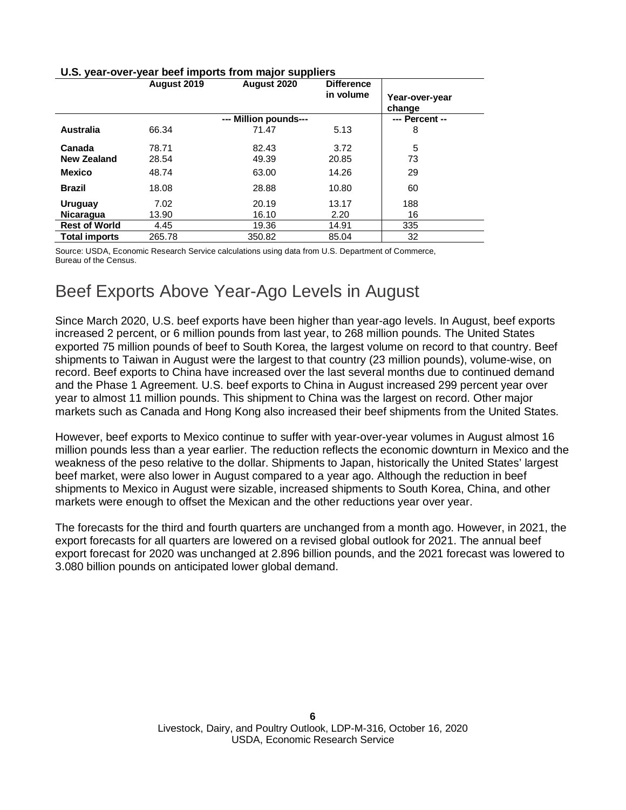#### **U.S. year-over-year beef imports from major suppliers**

|                      | August 2019 | August 2020           | <b>Difference</b><br>in volume |                          |
|----------------------|-------------|-----------------------|--------------------------------|--------------------------|
|                      |             |                       |                                | Year-over-year<br>change |
|                      |             | --- Million pounds--- |                                | --- Percent --           |
| Australia            | 66.34       | 71.47                 | 5.13                           | 8                        |
| Canada               | 78.71       | 82.43                 | 3.72                           | 5                        |
| <b>New Zealand</b>   | 28.54       | 49.39                 | 20.85                          | 73                       |
| <b>Mexico</b>        | 48.74       | 63.00                 | 14.26                          | 29                       |
| <b>Brazil</b>        | 18.08       | 28.88                 | 10.80                          | 60                       |
| Uruguay              | 7.02        | 20.19                 | 13.17                          | 188                      |
| <b>Nicaragua</b>     | 13.90       | 16.10                 | 2.20                           | 16                       |
| <b>Rest of World</b> | 4.45        | 19.36                 | 14.91                          | 335                      |
| <b>Total imports</b> | 265.78      | 350.82                | 85.04                          | 32                       |

Source: USDA, Economic Research Service calculations using data from U.S. Department of Commerce, Bureau of the Census.

### Beef Exports Above Year-Ago Levels in August

Since March 2020, U.S. beef exports have been higher than year-ago levels. In August, beef exports increased 2 percent, or 6 million pounds from last year, to 268 million pounds. The United States exported 75 million pounds of beef to South Korea, the largest volume on record to that country. Beef shipments to Taiwan in August were the largest to that country (23 million pounds), volume-wise, on record. Beef exports to China have increased over the last several months due to continued demand and the Phase 1 Agreement. U.S. beef exports to China in August increased 299 percent year over year to almost 11 million pounds. This shipment to China was the largest on record. Other major markets such as Canada and Hong Kong also increased their beef shipments from the United States.

However, beef exports to Mexico continue to suffer with year-over-year volumes in August almost 16 million pounds less than a year earlier. The reduction reflects the economic downturn in Mexico and the weakness of the peso relative to the dollar. Shipments to Japan, historically the United States' largest beef market, were also lower in August compared to a year ago. Although the reduction in beef shipments to Mexico in August were sizable, increased shipments to South Korea, China, and other markets were enough to offset the Mexican and the other reductions year over year.

The forecasts for the third and fourth quarters are unchanged from a month ago. However, in 2021, the export forecasts for all quarters are lowered on a revised global outlook for 2021. The annual beef export forecast for 2020 was unchanged at 2.896 billion pounds, and the 2021 forecast was lowered to 3.080 billion pounds on anticipated lower global demand.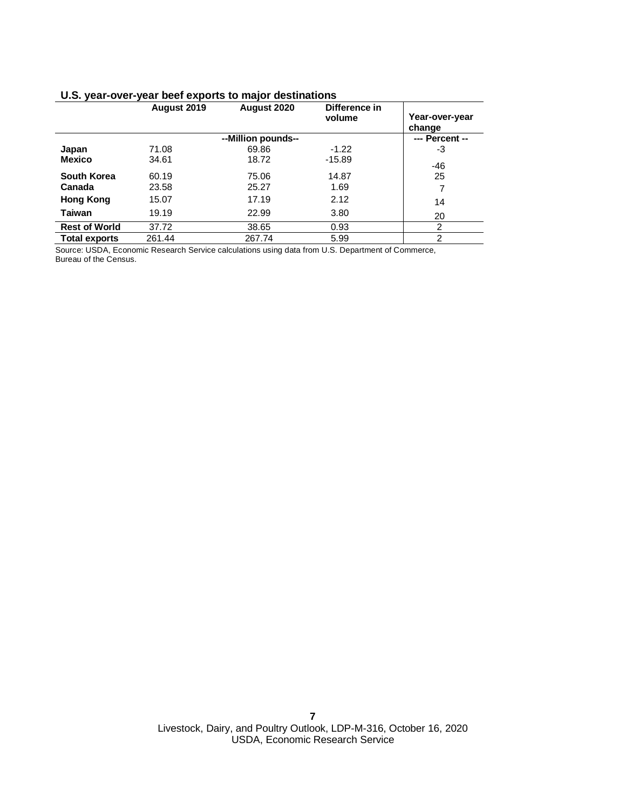|  |  |  |  |  | U.S. year-over-year beef exports to major destinations |
|--|--|--|--|--|--------------------------------------------------------|
|--|--|--|--|--|--------------------------------------------------------|

|                      | August 2019 | August 2020        | Difference in<br>volume | Year-over-year<br>change |
|----------------------|-------------|--------------------|-------------------------|--------------------------|
|                      |             | --Million pounds-- |                         | --- Percent --           |
| Japan                | 71.08       | 69.86              | $-1.22$                 | -3                       |
| <b>Mexico</b>        | 34.61       | 18.72              | $-15.89$                | -46                      |
| South Korea          | 60.19       | 75.06              | 14.87                   | 25                       |
| Canada               | 23.58       | 25.27              | 1.69                    | 7                        |
| Hong Kong            | 15.07       | 17.19              | 2.12                    | 14                       |
| <b>Taiwan</b>        | 19.19       | 22.99              | 3.80                    | 20                       |
| <b>Rest of World</b> | 37.72       | 38.65              | 0.93                    | 2                        |
| <b>Total exports</b> | 261.44      | 267.74             | 5.99                    | $\overline{2}$           |

Source: USDA, Economic Research Service calculations using data from U.S. Department of Commerce, Bureau of the Census.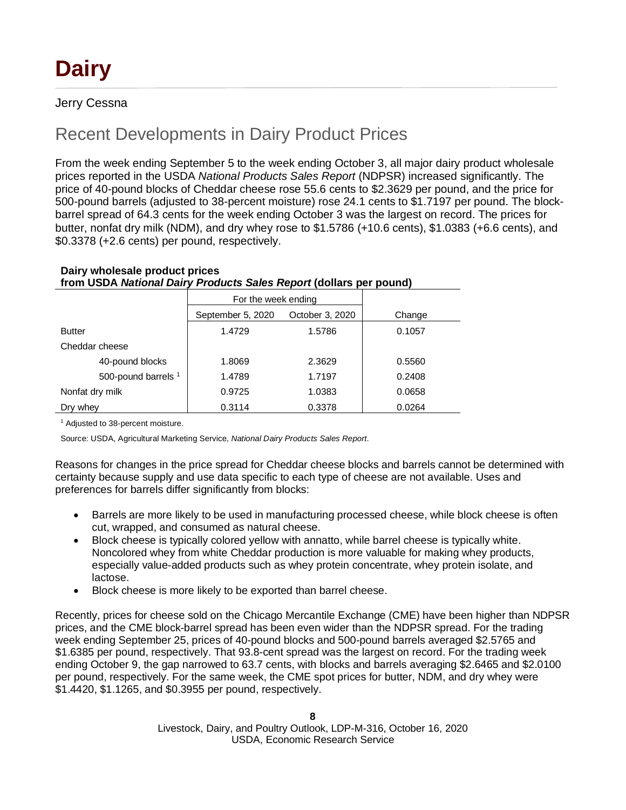### Jerry Cessna

### Recent Developments in Dairy Product Prices

From the week ending September 5 to the week ending October 3, all major dairy product wholesale prices reported in the USDA *National Products Sales Report* (NDPSR) increased significantly. The price of 40-pound blocks of Cheddar cheese rose 55.6 cents to \$2.3629 per pound, and the price for 500-pound barrels (adjusted to 38-percent moisture) rose 24.1 cents to \$1.7197 per pound. The blockbarrel spread of 64.3 cents for the week ending October 3 was the largest on record. The prices for butter, nonfat dry milk (NDM), and dry whey rose to \$1.5786 (+10.6 cents), \$1.0383 (+6.6 cents), and \$0.3378 (+2.6 cents) per pound, respectively.

|                                | For the week ending |                 |        |
|--------------------------------|---------------------|-----------------|--------|
|                                | September 5, 2020   | October 3, 2020 | Change |
| <b>Butter</b>                  | 1.4729              | 1.5786          | 0.1057 |
| Cheddar cheese                 |                     |                 |        |
| 40-pound blocks                | 1.8069              | 2.3629          | 0.5560 |
| 500-pound barrels <sup>1</sup> | 1.4789              | 1.7197          | 0.2408 |
| Nonfat dry milk                | 0.9725              | 1.0383          | 0.0658 |
| Dry whey                       | 0.3114              | 0.3378          | 0.0264 |

#### **Dairy wholesale product prices**

**from USDA** *National Dairy Products Sales Report* **(dollars per pound)**

<sup>1</sup> Adjusted to 38-percent moisture.

Source: USDA, Agricultural Marketing Service, *National Dairy Products Sales Report*.

Reasons for changes in the price spread for Cheddar cheese blocks and barrels cannot be determined with certainty because supply and use data specific to each type of cheese are not available. Uses and preferences for barrels differ significantly from blocks:

- Barrels are more likely to be used in manufacturing processed cheese, while block cheese is often cut, wrapped, and consumed as natural cheese.
- Block cheese is typically colored yellow with annatto, while barrel cheese is typically white. Noncolored whey from white Cheddar production is more valuable for making whey products, especially value-added products such as whey protein concentrate, whey protein isolate, and lactose.
- Block cheese is more likely to be exported than barrel cheese.

Recently, prices for cheese sold on the Chicago Mercantile Exchange (CME) have been higher than NDPSR prices, and the CME block-barrel spread has been even wider than the NDPSR spread. For the trading week ending September 25, prices of 40-pound blocks and 500-pound barrels averaged \$2.5765 and \$1.6385 per pound, respectively. That 93.8-cent spread was the largest on record. For the trading week ending October 9, the gap narrowed to 63.7 cents, with blocks and barrels averaging \$2.6465 and \$2.0100 per pound, respectively. For the same week, the CME spot prices for butter, NDM, and dry whey were \$1.4420, \$1.1265, and \$0.3955 per pound, respectively.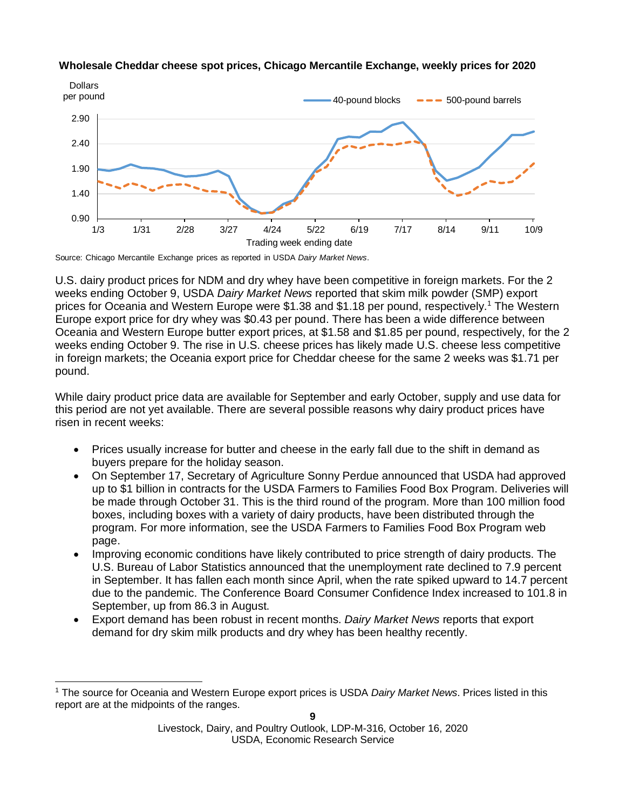

#### **Wholesale Cheddar cheese spot prices, Chicago Mercantile Exchange, weekly prices for 2020**

Source: Chicago Mercantile Exchange prices as reported in USDA *Dairy Market News*.

U.S. dairy product prices for NDM and dry whey have been competitive in foreign markets. For the 2 weeks ending October 9, USDA *Dairy Market News* reported that skim milk powder (SMP) export prices for Oceania and Western Europe were \$1.38 and \$1.18 per pound, respectively.[1](#page-29-0) The Western Europe export price for dry whey was \$0.43 per pound. There has been a wide difference between Oceania and Western Europe butter export prices, at \$1.58 and \$1.85 per pound, respectively, for the 2 weeks ending October 9. The rise in U.S. cheese prices has likely made U.S. cheese less competitive in foreign markets; the Oceania export price for Cheddar cheese for the same 2 weeks was \$1.71 per pound.

While dairy product price data are available for September and early October, supply and use data for this period are not yet available. There are several possible reasons why dairy product prices have risen in recent weeks:

- Prices usually increase for butter and cheese in the early fall due to the shift in demand as buyers prepare for the holiday season.
- On September 17, Secretary of Agriculture Sonny Perdue announced that USDA had approved up to \$1 billion in contracts for the USDA Farmers to Families Food Box Program. Deliveries will be made through October 31. This is the third round of the program. More than 100 million food boxes, including boxes with a variety of dairy products, have been distributed through the program. For more information, see the USDA Farmers to Families Food Box Program web page.
- Improving economic conditions have likely contributed to price strength of dairy products. The U.S. Bureau of Labor Statistics announced that the unemployment rate declined to 7.9 percent in September. It has fallen each month since April, when the rate spiked upward to 14.7 percent due to the pandemic. The Conference Board Consumer Confidence Index increased to 101.8 in September, up from 86.3 in August.
- Export demand has been robust in recent months. *Dairy Market News* reports that export demand for dry skim milk products and dry whey has been healthy recently.

<sup>1</sup> The source for Oceania and Western Europe export prices is USDA *Dairy Market News*. Prices listed in this report are at the midpoints of the ranges.

Livestock, Dairy, and Poultry Outlook, LDP-M-316, October 16, 2020 USDA, Economic Research Service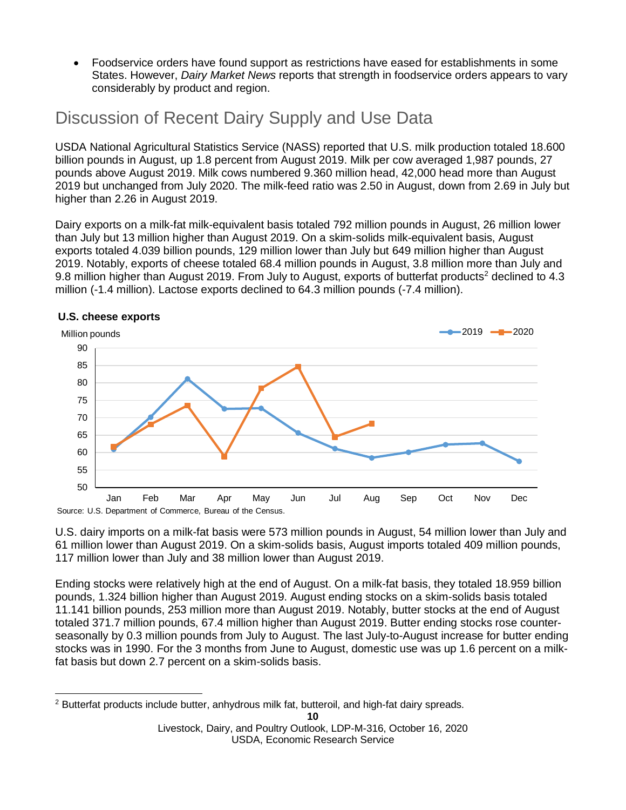• Foodservice orders have found support as restrictions have eased for establishments in some States. However, *Dairy Market News* reports that strength in foodservice orders appears to vary considerably by product and region.

### Discussion of Recent Dairy Supply and Use Data

USDA National Agricultural Statistics Service (NASS) reported that U.S. milk production totaled 18.600 billion pounds in August, up 1.8 percent from August 2019. Milk per cow averaged 1,987 pounds, 27 pounds above August 2019. Milk cows numbered 9.360 million head, 42,000 head more than August 2019 but unchanged from July 2020. The milk-feed ratio was 2.50 in August, down from 2.69 in July but higher than 2.26 in August 2019.

Dairy exports on a milk-fat milk-equivalent basis totaled 792 million pounds in August, 26 million lower than July but 13 million higher than August 2019. On a skim-solids milk-equivalent basis, August exports totaled 4.039 billion pounds, 129 million lower than July but 649 million higher than August 2019. Notably, exports of cheese totaled 68.4 million pounds in August, 3.8 million more than July and 9.8 million higher than August [2](#page-9-0)019. From July to August, exports of butterfat products<sup>2</sup> declined to 4.3 million (-1.4 million). Lactose exports declined to 64.3 million pounds (-7.4 million).



#### **U.S. cheese exports**

U.S. dairy imports on a milk-fat basis were 573 million pounds in August, 54 million lower than July and 61 million lower than August 2019. On a skim-solids basis, August imports totaled 409 million pounds, 117 million lower than July and 38 million lower than August 2019.

Ending stocks were relatively high at the end of August. On a milk-fat basis, they totaled 18.959 billion pounds, 1.324 billion higher than August 2019. August ending stocks on a skim-solids basis totaled 11.141 billion pounds, 253 million more than August 2019. Notably, butter stocks at the end of August totaled 371.7 million pounds, 67.4 million higher than August 2019. Butter ending stocks rose counterseasonally by 0.3 million pounds from July to August. The last July-to-August increase for butter ending stocks was in 1990. For the 3 months from June to August, domestic use was up 1.6 percent on a milkfat basis but down 2.7 percent on a skim-solids basis.

<span id="page-9-0"></span><sup>&</sup>lt;sup>2</sup> Butterfat products include butter, anhydrous milk fat, butteroil, and high-fat dairy spreads.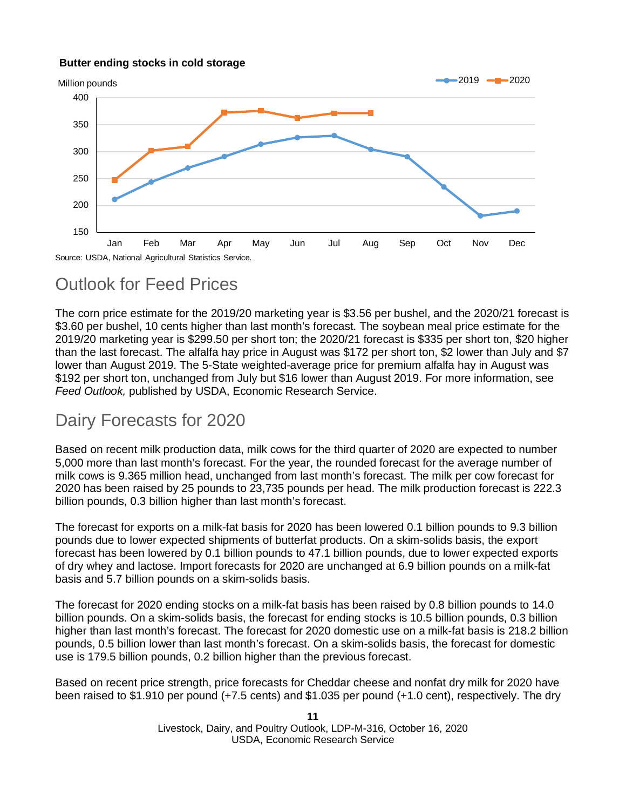#### **Butter ending stocks in cold storage**



### Outlook for Feed Prices

The corn price estimate for the 2019/20 marketing year is \$3.56 per bushel, and the 2020/21 forecast is \$3.60 per bushel, 10 cents higher than last month's forecast. The soybean meal price estimate for the 2019/20 marketing year is \$299.50 per short ton; the 2020/21 forecast is \$335 per short ton, \$20 higher than the last forecast. The alfalfa hay price in August was \$172 per short ton, \$2 lower than July and \$7 lower than August 2019. The 5-State weighted-average price for premium alfalfa hay in August was \$192 per short ton, unchanged from July but \$16 lower than August 2019. For more information, see *Feed Outlook,* published by USDA, Economic Research Service.

### Dairy Forecasts for 2020

Based on recent milk production data, milk cows for the third quarter of 2020 are expected to number 5,000 more than last month's forecast. For the year, the rounded forecast for the average number of milk cows is 9.365 million head, unchanged from last month's forecast. The milk per cow forecast for 2020 has been raised by 25 pounds to 23,735 pounds per head. The milk production forecast is 222.3 billion pounds, 0.3 billion higher than last month's forecast.

The forecast for exports on a milk-fat basis for 2020 has been lowered 0.1 billion pounds to 9.3 billion pounds due to lower expected shipments of butterfat products. On a skim-solids basis, the export forecast has been lowered by 0.1 billion pounds to 47.1 billion pounds, due to lower expected exports of dry whey and lactose. Import forecasts for 2020 are unchanged at 6.9 billion pounds on a milk-fat basis and 5.7 billion pounds on a skim-solids basis.

The forecast for 2020 ending stocks on a milk-fat basis has been raised by 0.8 billion pounds to 14.0 billion pounds. On a skim-solids basis, the forecast for ending stocks is 10.5 billion pounds, 0.3 billion higher than last month's forecast. The forecast for 2020 domestic use on a milk-fat basis is 218.2 billion pounds, 0.5 billion lower than last month's forecast. On a skim-solids basis, the forecast for domestic use is 179.5 billion pounds, 0.2 billion higher than the previous forecast.

Based on recent price strength, price forecasts for Cheddar cheese and nonfat dry milk for 2020 have been raised to \$1.910 per pound (+7.5 cents) and \$1.035 per pound (+1.0 cent), respectively. The dry

> **11** Livestock, Dairy, and Poultry Outlook, LDP-M-316, October 16, 2020 USDA, Economic Research Service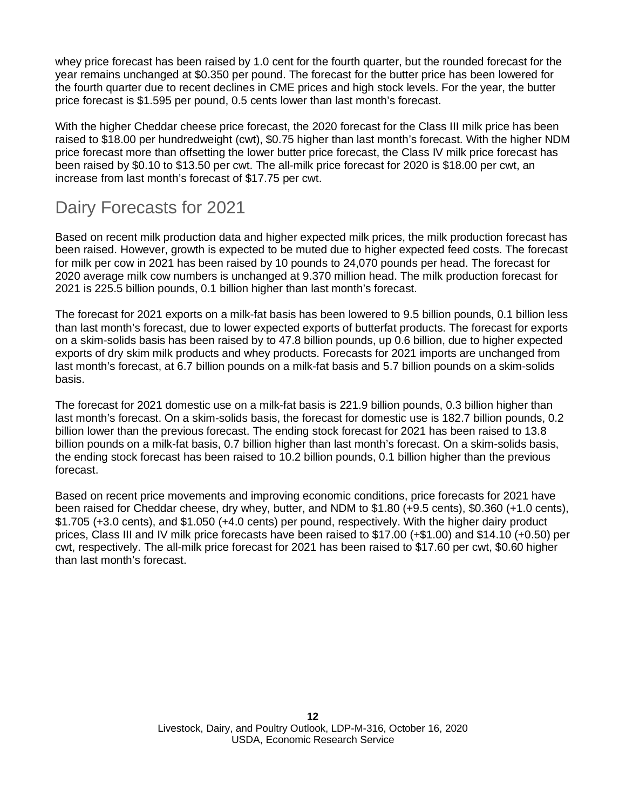whey price forecast has been raised by 1.0 cent for the fourth quarter, but the rounded forecast for the year remains unchanged at \$0.350 per pound. The forecast for the butter price has been lowered for the fourth quarter due to recent declines in CME prices and high stock levels. For the year, the butter price forecast is \$1.595 per pound, 0.5 cents lower than last month's forecast.

With the higher Cheddar cheese price forecast, the 2020 forecast for the Class III milk price has been raised to \$18.00 per hundredweight (cwt), \$0.75 higher than last month's forecast. With the higher NDM price forecast more than offsetting the lower butter price forecast, the Class IV milk price forecast has been raised by \$0.10 to \$13.50 per cwt. The all-milk price forecast for 2020 is \$18.00 per cwt, an increase from last month's forecast of \$17.75 per cwt.

## Dairy Forecasts for 2021

Based on recent milk production data and higher expected milk prices, the milk production forecast has been raised. However, growth is expected to be muted due to higher expected feed costs. The forecast for milk per cow in 2021 has been raised by 10 pounds to 24,070 pounds per head. The forecast for 2020 average milk cow numbers is unchanged at 9.370 million head. The milk production forecast for 2021 is 225.5 billion pounds, 0.1 billion higher than last month's forecast.

The forecast for 2021 exports on a milk-fat basis has been lowered to 9.5 billion pounds, 0.1 billion less than last month's forecast, due to lower expected exports of butterfat products. The forecast for exports on a skim-solids basis has been raised by to 47.8 billion pounds, up 0.6 billion, due to higher expected exports of dry skim milk products and whey products. Forecasts for 2021 imports are unchanged from last month's forecast, at 6.7 billion pounds on a milk-fat basis and 5.7 billion pounds on a skim-solids basis.

The forecast for 2021 domestic use on a milk-fat basis is 221.9 billion pounds, 0.3 billion higher than last month's forecast. On a skim-solids basis, the forecast for domestic use is 182.7 billion pounds, 0.2 billion lower than the previous forecast. The ending stock forecast for 2021 has been raised to 13.8 billion pounds on a milk-fat basis, 0.7 billion higher than last month's forecast. On a skim-solids basis, the ending stock forecast has been raised to 10.2 billion pounds, 0.1 billion higher than the previous forecast.

Based on recent price movements and improving economic conditions, price forecasts for 2021 have been raised for Cheddar cheese, dry whey, butter, and NDM to \$1.80 (+9.5 cents), \$0.360 (+1.0 cents), \$1.705 (+3.0 cents), and \$1.050 (+4.0 cents) per pound, respectively. With the higher dairy product prices, Class III and IV milk price forecasts have been raised to \$17.00 (+\$1.00) and \$14.10 (+0.50) per cwt, respectively. The all-milk price forecast for 2021 has been raised to \$17.60 per cwt, \$0.60 higher than last month's forecast.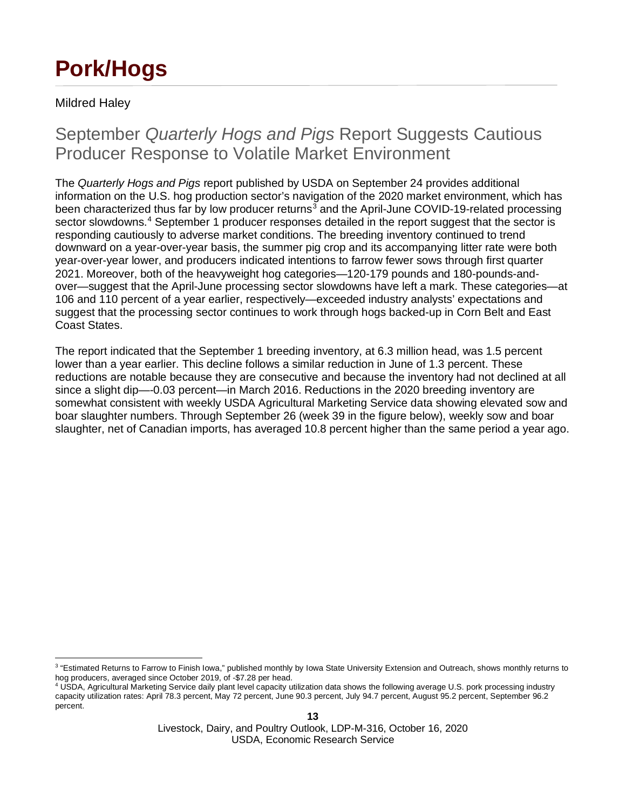# **Pork/Hogs**

### Mildred Haley

### September *Quarterly Hogs and Pigs* Report Suggests Cautious Producer Response to Volatile Market Environment

The *Quarterly Hogs and Pigs* report published by USDA on September 24 provides additional information on the U.S. hog production sector's navigation of the 2020 market environment, which has been characterized thus far by low producer returns<sup>[3](#page-12-0)</sup> and the April-June COVID-19-related processing sector slowdowns.[4](#page-12-1) September 1 producer responses detailed in the report suggest that the sector is responding cautiously to adverse market conditions. The breeding inventory continued to trend downward on a year-over-year basis, the summer pig crop and its accompanying litter rate were both year-over-year lower, and producers indicated intentions to farrow fewer sows through first quarter 2021. Moreover, both of the heavyweight hog categories—120-179 pounds and 180-pounds-andover—suggest that the April-June processing sector slowdowns have left a mark. These categories—at 106 and 110 percent of a year earlier, respectively—exceeded industry analysts' expectations and suggest that the processing sector continues to work through hogs backed-up in Corn Belt and East Coast States.

The report indicated that the September 1 breeding inventory, at 6.3 million head, was 1.5 percent lower than a year earlier. This decline follows a similar reduction in June of 1.3 percent. These reductions are notable because they are consecutive and because the inventory had not declined at all since a slight dip—-0.03 percent—in March 2016. Reductions in the 2020 breeding inventory are somewhat consistent with weekly USDA Agricultural Marketing Service data showing elevated sow and boar slaughter numbers. Through September 26 (week 39 in the figure below), weekly sow and boar slaughter, net of Canadian imports, has averaged 10.8 percent higher than the same period a year ago.

<span id="page-12-0"></span><sup>&</sup>lt;sup>3</sup> "Estimated Returns to Farrow to Finish Iowa," published monthly by Iowa State University Extension and Outreach, shows monthly returns to hog producers, averaged since October 2019, of -\$7.28 per head.

<span id="page-12-1"></span><sup>4</sup> USDA, Agricultural Marketing Service daily plant level capacity utilization data shows the following average U.S. pork processing industry capacity utilization rates: April 78.3 percent, May 72 percent, June 90.3 percent, July 94.7 percent, August 95.2 percent, September 96.2 percent.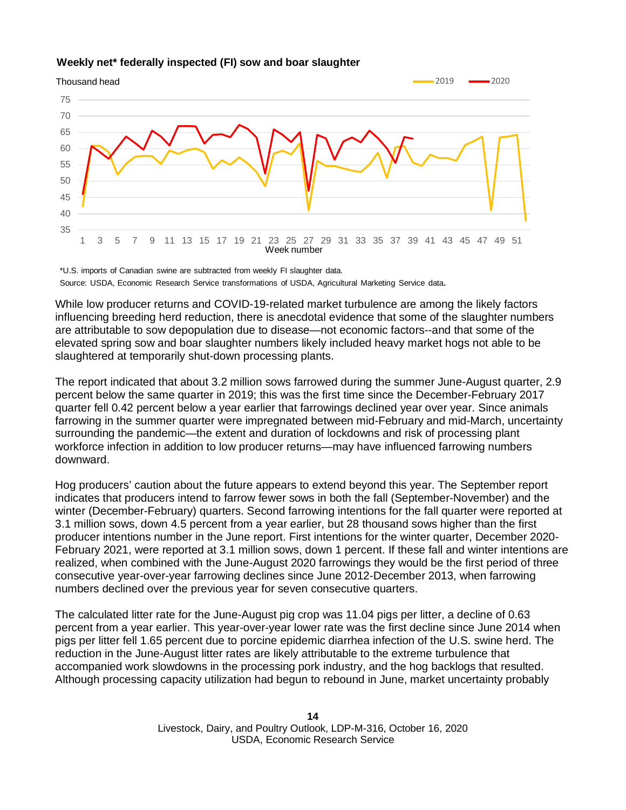#### **Weekly net\* federally inspected (FI) sow and boar slaughter**



\*U.S. imports of Canadian swine are subtracted from weekly FI slaughter data. Source: USDA, Economic Research Service transformations of USDA, Agricultural Marketing Service data.

While low producer returns and COVID-19-related market turbulence are among the likely factors influencing breeding herd reduction, there is anecdotal evidence that some of the slaughter numbers are attributable to sow depopulation due to disease—not economic factors--and that some of the elevated spring sow and boar slaughter numbers likely included heavy market hogs not able to be slaughtered at temporarily shut-down processing plants.

The report indicated that about 3.2 million sows farrowed during the summer June-August quarter, 2.9 percent below the same quarter in 2019; this was the first time since the December-February 2017 quarter fell 0.42 percent below a year earlier that farrowings declined year over year. Since animals farrowing in the summer quarter were impregnated between mid-February and mid-March, uncertainty surrounding the pandemic—the extent and duration of lockdowns and risk of processing plant workforce infection in addition to low producer returns—may have influenced farrowing numbers downward.

Hog producers' caution about the future appears to extend beyond this year. The September report indicates that producers intend to farrow fewer sows in both the fall (September-November) and the winter (December-February) quarters. Second farrowing intentions for the fall quarter were reported at 3.1 million sows, down 4.5 percent from a year earlier, but 28 thousand sows higher than the first producer intentions number in the June report. First intentions for the winter quarter, December 2020- February 2021, were reported at 3.1 million sows, down 1 percent. If these fall and winter intentions are realized, when combined with the June-August 2020 farrowings they would be the first period of three consecutive year-over-year farrowing declines since June 2012-December 2013, when farrowing numbers declined over the previous year for seven consecutive quarters.

The calculated litter rate for the June-August pig crop was 11.04 pigs per litter, a decline of 0.63 percent from a year earlier. This year-over-year lower rate was the first decline since June 2014 when pigs per litter fell 1.65 percent due to porcine epidemic diarrhea infection of the U.S. swine herd. The reduction in the June-August litter rates are likely attributable to the extreme turbulence that accompanied work slowdowns in the processing pork industry, and the hog backlogs that resulted. Although processing capacity utilization had begun to rebound in June, market uncertainty probably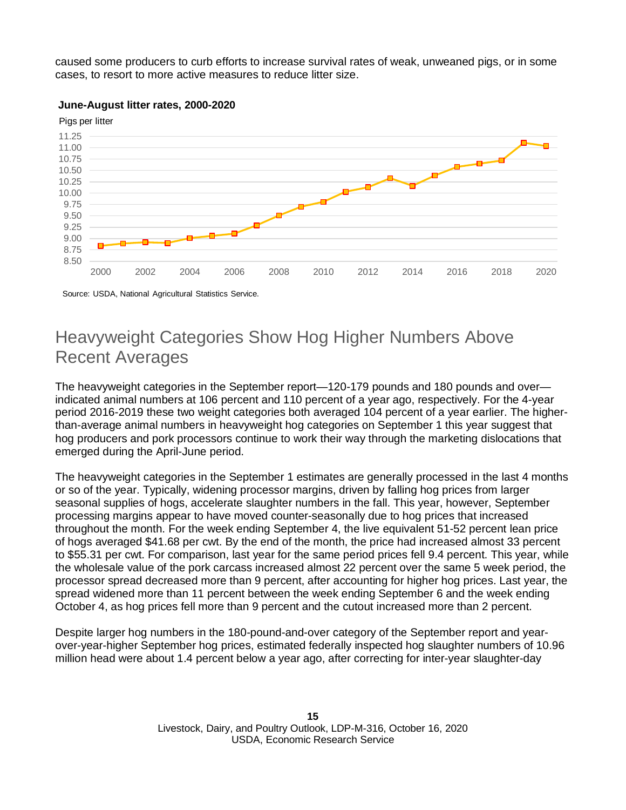caused some producers to curb efforts to increase survival rates of weak, unweaned pigs, or in some cases, to resort to more active measures to reduce litter size.



#### **June-August litter rates, 2000-2020**

Source: USDA, National Agricultural Statistics Service.

### Heavyweight Categories Show Hog Higher Numbers Above Recent Averages

The heavyweight categories in the September report—120-179 pounds and 180 pounds and over indicated animal numbers at 106 percent and 110 percent of a year ago, respectively. For the 4-year period 2016-2019 these two weight categories both averaged 104 percent of a year earlier. The higherthan-average animal numbers in heavyweight hog categories on September 1 this year suggest that hog producers and pork processors continue to work their way through the marketing dislocations that emerged during the April-June period.

The heavyweight categories in the September 1 estimates are generally processed in the last 4 months or so of the year. Typically, widening processor margins, driven by falling hog prices from larger seasonal supplies of hogs, accelerate slaughter numbers in the fall. This year, however, September processing margins appear to have moved counter-seasonally due to hog prices that increased throughout the month. For the week ending September 4, the live equivalent 51-52 percent lean price of hogs averaged \$41.68 per cwt. By the end of the month, the price had increased almost 33 percent to \$55.31 per cwt. For comparison, last year for the same period prices fell 9.4 percent. This year, while the wholesale value of the pork carcass increased almost 22 percent over the same 5 week period, the processor spread decreased more than 9 percent, after accounting for higher hog prices. Last year, the spread widened more than 11 percent between the week ending September 6 and the week ending October 4, as hog prices fell more than 9 percent and the cutout increased more than 2 percent.

Despite larger hog numbers in the 180-pound-and-over category of the September report and yearover-year-higher September hog prices, estimated federally inspected hog slaughter numbers of 10.96 million head were about 1.4 percent below a year ago, after correcting for inter-year slaughter-day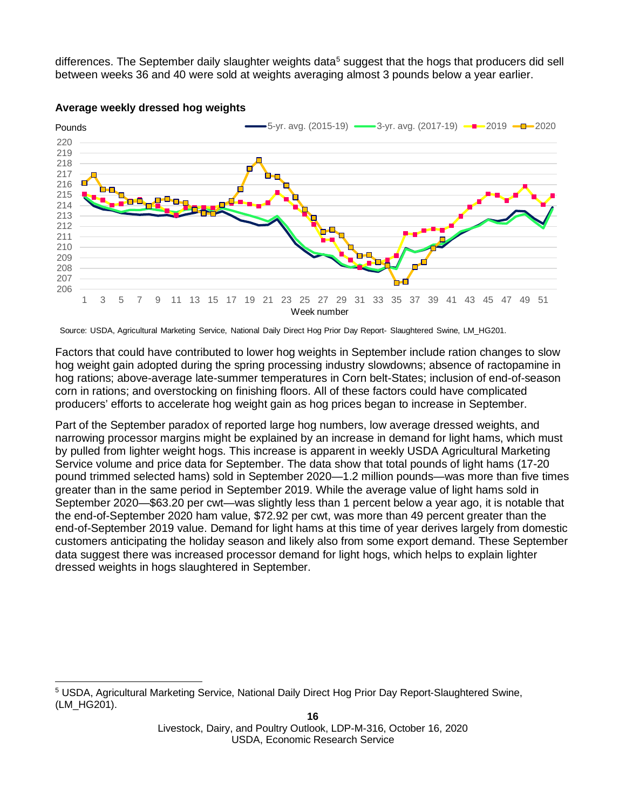differences. The September daily slaughter weights data<sup>[5](#page-15-0)</sup> suggest that the hogs that producers did sell between weeks 36 and 40 were sold at weights averaging almost 3 pounds below a year earlier.



#### **Average weekly dressed hog weights**

Factors that could have contributed to lower hog weights in September include ration changes to slow hog weight gain adopted during the spring processing industry slowdowns; absence of ractopamine in hog rations; above-average late-summer temperatures in Corn belt-States; inclusion of end-of-season corn in rations; and overstocking on finishing floors. All of these factors could have complicated producers' efforts to accelerate hog weight gain as hog prices began to increase in September.

Part of the September paradox of reported large hog numbers, low average dressed weights, and narrowing processor margins might be explained by an increase in demand for light hams, which must by pulled from lighter weight hogs. This increase is apparent in weekly USDA Agricultural Marketing Service volume and price data for September. The data show that total pounds of light hams (17-20 pound trimmed selected hams) sold in September 2020—1.2 million pounds—was more than five times greater than in the same period in September 2019. While the average value of light hams sold in September 2020—\$63.20 per cwt—was slightly less than 1 percent below a year ago, it is notable that the end-of-September 2020 ham value, \$72.92 per cwt, was more than 49 percent greater than the end-of-September 2019 value. Demand for light hams at this time of year derives largely from domestic customers anticipating the holiday season and likely also from some export demand. These September data suggest there was increased processor demand for light hogs, which helps to explain lighter dressed weights in hogs slaughtered in September.

Source: USDA, Agricultural Marketing Service, National Daily Direct Hog Prior Day Report- Slaughtered Swine, LM\_HG201.

<span id="page-15-0"></span><sup>5</sup> USDA, Agricultural Marketing Service, National Daily Direct Hog Prior Day Report-Slaughtered Swine, (LM\_HG201).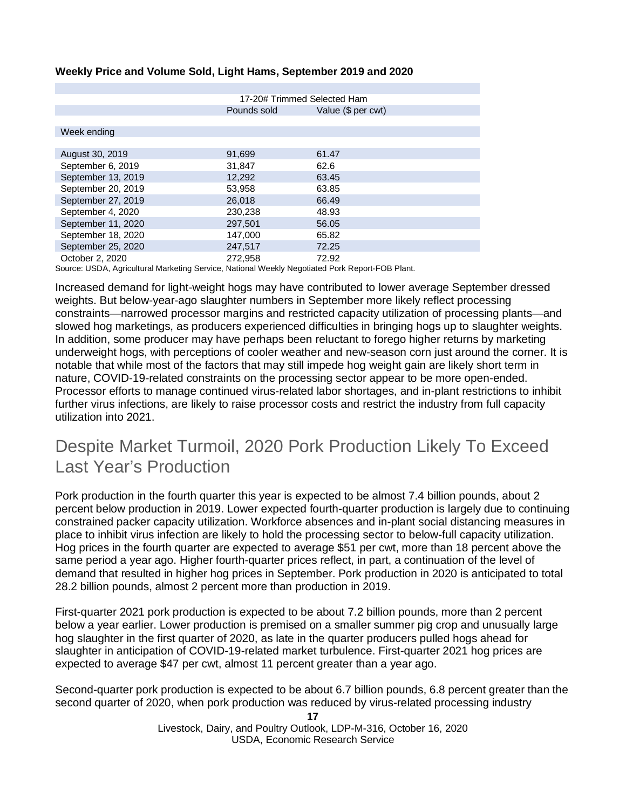#### **Weekly Price and Volume Sold, Light Hams, September 2019 and 2020**

|                                                                                           | 17-20# Trimmed Selected Ham |                    |  |  |  |
|-------------------------------------------------------------------------------------------|-----------------------------|--------------------|--|--|--|
|                                                                                           | Pounds sold                 | Value (\$ per cwt) |  |  |  |
|                                                                                           |                             |                    |  |  |  |
| Week ending                                                                               |                             |                    |  |  |  |
|                                                                                           |                             |                    |  |  |  |
| August 30, 2019                                                                           | 91,699                      | 61.47              |  |  |  |
| September 6, 2019                                                                         | 31,847                      | 62.6               |  |  |  |
| September 13, 2019                                                                        | 12,292                      | 63.45              |  |  |  |
| September 20, 2019                                                                        | 53,958                      | 63.85              |  |  |  |
| September 27, 2019                                                                        | 26,018                      | 66.49              |  |  |  |
| September 4, 2020                                                                         | 230,238                     | 48.93              |  |  |  |
| September 11, 2020                                                                        | 297.501                     | 56.05              |  |  |  |
| September 18, 2020                                                                        | 147,000                     | 65.82              |  |  |  |
| September 25, 2020                                                                        | 247,517                     | 72.25              |  |  |  |
| October 2, 2020                                                                           | 272.958                     | 72.92              |  |  |  |
| Ostussa HODA. Aasta ilmaa Maskattsa Osaitaa Mattaas Martiki Maaattata J. Daske TOD Dlaat. |                             |                    |  |  |  |

Source: USDA, Agricultural Marketing Service, National Weekly Negotiated Pork Report-FOB Plant.

Increased demand for light-weight hogs may have contributed to lower average September dressed weights. But below-year-ago slaughter numbers in September more likely reflect processing constraints—narrowed processor margins and restricted capacity utilization of processing plants—and slowed hog marketings, as producers experienced difficulties in bringing hogs up to slaughter weights. In addition, some producer may have perhaps been reluctant to forego higher returns by marketing underweight hogs, with perceptions of cooler weather and new-season corn just around the corner. It is notable that while most of the factors that may still impede hog weight gain are likely short term in nature, COVID-19-related constraints on the processing sector appear to be more open-ended. Processor efforts to manage continued virus-related labor shortages, and in-plant restrictions to inhibit further virus infections, are likely to raise processor costs and restrict the industry from full capacity utilization into 2021.

### Despite Market Turmoil, 2020 Pork Production Likely To Exceed Last Year's Production

Pork production in the fourth quarter this year is expected to be almost 7.4 billion pounds, about 2 percent below production in 2019. Lower expected fourth-quarter production is largely due to continuing constrained packer capacity utilization. Workforce absences and in-plant social distancing measures in place to inhibit virus infection are likely to hold the processing sector to below-full capacity utilization. Hog prices in the fourth quarter are expected to average \$51 per cwt, more than 18 percent above the same period a year ago. Higher fourth-quarter prices reflect, in part, a continuation of the level of demand that resulted in higher hog prices in September. Pork production in 2020 is anticipated to total 28.2 billion pounds, almost 2 percent more than production in 2019.

First-quarter 2021 pork production is expected to be about 7.2 billion pounds, more than 2 percent below a year earlier. Lower production is premised on a smaller summer pig crop and unusually large hog slaughter in the first quarter of 2020, as late in the quarter producers pulled hogs ahead for slaughter in anticipation of COVID-19-related market turbulence. First-quarter 2021 hog prices are expected to average \$47 per cwt, almost 11 percent greater than a year ago.

Second-quarter pork production is expected to be about 6.7 billion pounds, 6.8 percent greater than the second quarter of 2020, when pork production was reduced by virus-related processing industry

> **17** Livestock, Dairy, and Poultry Outlook, LDP-M-316, October 16, 2020 USDA, Economic Research Service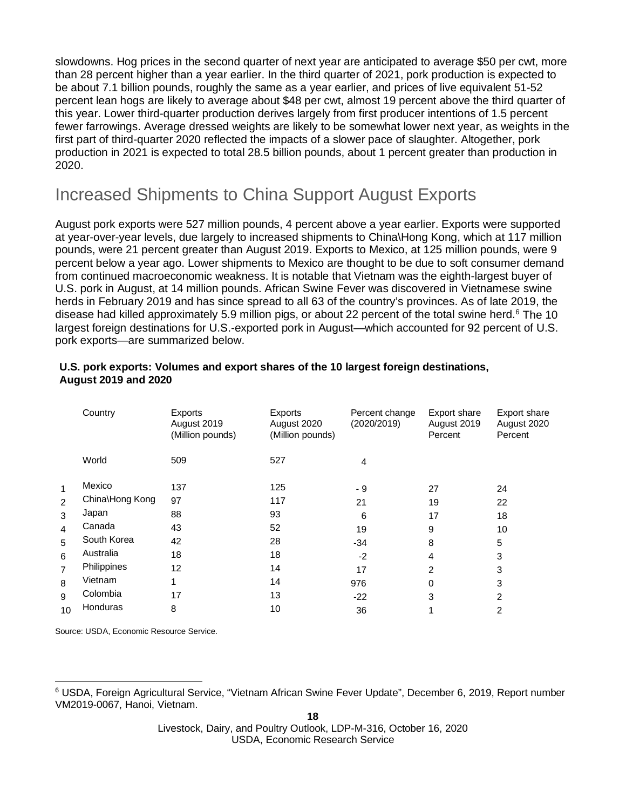slowdowns. Hog prices in the second quarter of next year are anticipated to average \$50 per cwt, more than 28 percent higher than a year earlier. In the third quarter of 2021, pork production is expected to be about 7.1 billion pounds, roughly the same as a year earlier, and prices of live equivalent 51-52 percent lean hogs are likely to average about \$48 per cwt, almost 19 percent above the third quarter of this year. Lower third-quarter production derives largely from first producer intentions of 1.5 percent fewer farrowings. Average dressed weights are likely to be somewhat lower next year, as weights in the first part of third-quarter 2020 reflected the impacts of a slower pace of slaughter. Altogether, pork production in 2021 is expected to total 28.5 billion pounds, about 1 percent greater than production in 2020.

### Increased Shipments to China Support August Exports

August pork exports were 527 million pounds, 4 percent above a year earlier. Exports were supported at year-over-year levels, due largely to increased shipments to China\Hong Kong, which at 117 million pounds, were 21 percent greater than August 2019. Exports to Mexico, at 125 million pounds, were 9 percent below a year ago. Lower shipments to Mexico are thought to be due to soft consumer demand from continued macroeconomic weakness. It is notable that Vietnam was the eighth-largest buyer of U.S. pork in August, at 14 million pounds. African Swine Fever was discovered in Vietnamese swine herds in February 2019 and has since spread to all 63 of the country's provinces. As of late 2019, the disease had killed approximately 5.9 million pigs, or about 22 percent of the total swine herd.<sup>6</sup> The 10 largest foreign destinations for U.S.-exported pork in August—which accounted for 92 percent of U.S. pork exports—are summarized below.

|                | Country         | Exports<br>August 2019<br>(Million pounds) | Exports<br>August 2020<br>(Million pounds) | Percent change<br>(2020/2019) | Export share<br>August 2019<br>Percent | <b>Export share</b><br>August 2020<br>Percent |
|----------------|-----------------|--------------------------------------------|--------------------------------------------|-------------------------------|----------------------------------------|-----------------------------------------------|
|                | World           | 509                                        | 527                                        | 4                             |                                        |                                               |
| 1              | Mexico          | 137                                        | 125                                        | - 9                           | 27                                     | 24                                            |
| $\overline{2}$ | China\Hong Kong | 97                                         | 117                                        | 21                            | 19                                     | 22                                            |
| 3              | Japan           | 88                                         | 93                                         | 6                             | 17                                     | 18                                            |
| 4              | Canada          | 43                                         | 52                                         | 19                            | 9                                      | 10                                            |
| 5              | South Korea     | 42                                         | 28                                         | $-34$                         | 8                                      | 5                                             |
| 6              | Australia       | 18                                         | 18                                         | $-2$                          | 4                                      | 3                                             |
| 7              | Philippines     | 12                                         | 14                                         | 17                            | $\mathcal{P}$                          | 3                                             |
| 8              | Vietnam         | 1                                          | 14                                         | 976                           | 0                                      | 3                                             |
| 9              | Colombia        | 17                                         | 13                                         | $-22$                         | 3                                      | 2                                             |
| 10             | Honduras        | 8                                          | 10                                         | 36                            |                                        | 2                                             |

#### **U.S. pork exports: Volumes and export shares of the 10 largest foreign destinations, August 2019 and 2020**

Source: USDA, Economic Resource Service.

<span id="page-17-0"></span><sup>6</sup> USDA, Foreign Agricultural Service, "Vietnam African Swine Fever Update", December 6, 2019, Report number VM2019-0067, Hanoi, Vietnam.

Livestock, Dairy, and Poultry Outlook, LDP-M-316, October 16, 2020 USDA, Economic Research Service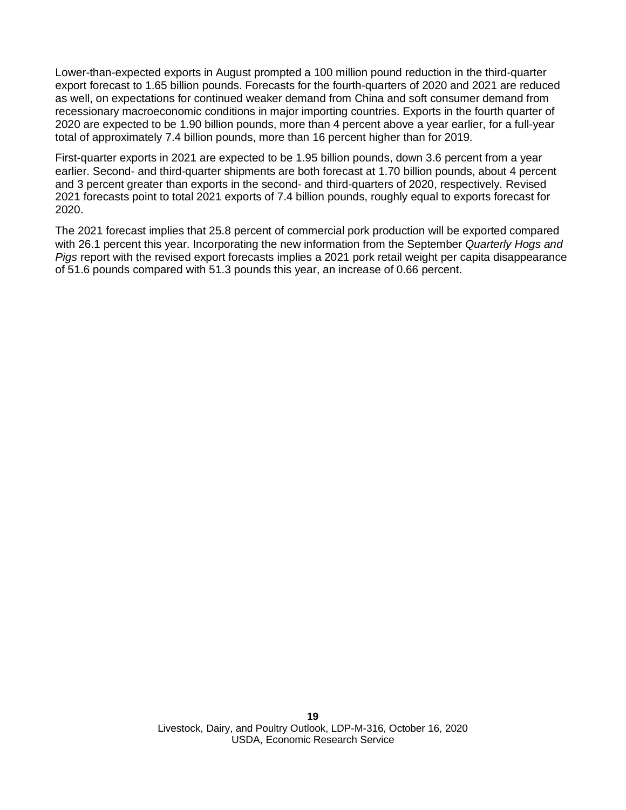Lower-than-expected exports in August prompted a 100 million pound reduction in the third-quarter export forecast to 1.65 billion pounds. Forecasts for the fourth-quarters of 2020 and 2021 are reduced as well, on expectations for continued weaker demand from China and soft consumer demand from recessionary macroeconomic conditions in major importing countries. Exports in the fourth quarter of 2020 are expected to be 1.90 billion pounds, more than 4 percent above a year earlier, for a full-year total of approximately 7.4 billion pounds, more than 16 percent higher than for 2019.

First-quarter exports in 2021 are expected to be 1.95 billion pounds, down 3.6 percent from a year earlier. Second- and third-quarter shipments are both forecast at 1.70 billion pounds, about 4 percent and 3 percent greater than exports in the second- and third-quarters of 2020, respectively. Revised 2021 forecasts point to total 2021 exports of 7.4 billion pounds, roughly equal to exports forecast for 2020.

The 2021 forecast implies that 25.8 percent of commercial pork production will be exported compared with 26.1 percent this year. Incorporating the new information from the September *Quarterly Hogs and Pigs* report with the revised export forecasts implies a 2021 pork retail weight per capita disappearance of 51.6 pounds compared with 51.3 pounds this year, an increase of 0.66 percent.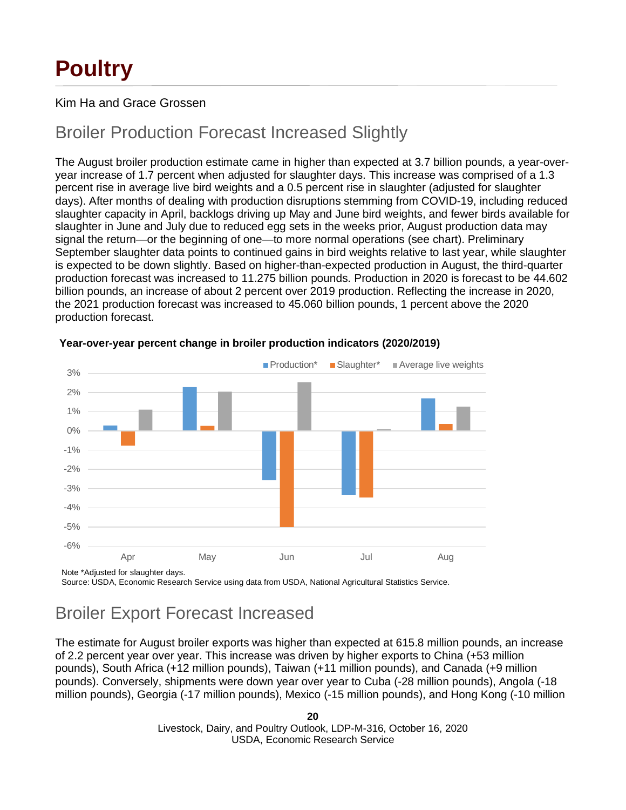# **Poultry**

### Kim Ha and Grace Grossen

### Broiler Production Forecast Increased Slightly

The August broiler production estimate came in higher than expected at 3.7 billion pounds, a year-overyear increase of 1.7 percent when adjusted for slaughter days. This increase was comprised of a 1.3 percent rise in average live bird weights and a 0.5 percent rise in slaughter (adjusted for slaughter days). After months of dealing with production disruptions stemming from COVID-19, including reduced slaughter capacity in April, backlogs driving up May and June bird weights, and fewer birds available for slaughter in June and July due to reduced egg sets in the weeks prior, August production data may signal the return—or the beginning of one—to more normal operations (see chart). Preliminary September slaughter data points to continued gains in bird weights relative to last year, while slaughter is expected to be down slightly. Based on higher-than-expected production in August, the third-quarter production forecast was increased to 11.275 billion pounds. Production in 2020 is forecast to be 44.602 billion pounds, an increase of about 2 percent over 2019 production. Reflecting the increase in 2020, the 2021 production forecast was increased to 45.060 billion pounds, 1 percent above the 2020 production forecast.



#### **Year-over-year percent change in broiler production indicators (2020/2019)**

Note \*Adjusted for slaughter days.

Source: USDA, Economic Research Service using data from USDA, National Agricultural Statistics Service.

## Broiler Export Forecast Increased

The estimate for August broiler exports was higher than expected at 615.8 million pounds, an increase of 2.2 percent year over year. This increase was driven by higher exports to China (+53 million pounds), South Africa (+12 million pounds), Taiwan (+11 million pounds), and Canada (+9 million pounds). Conversely, shipments were down year over year to Cuba (-28 million pounds), Angola (-18 million pounds), Georgia (-17 million pounds), Mexico (-15 million pounds), and Hong Kong (-10 million

> **20** Livestock, Dairy, and Poultry Outlook, LDP-M-316, October 16, 2020 USDA, Economic Research Service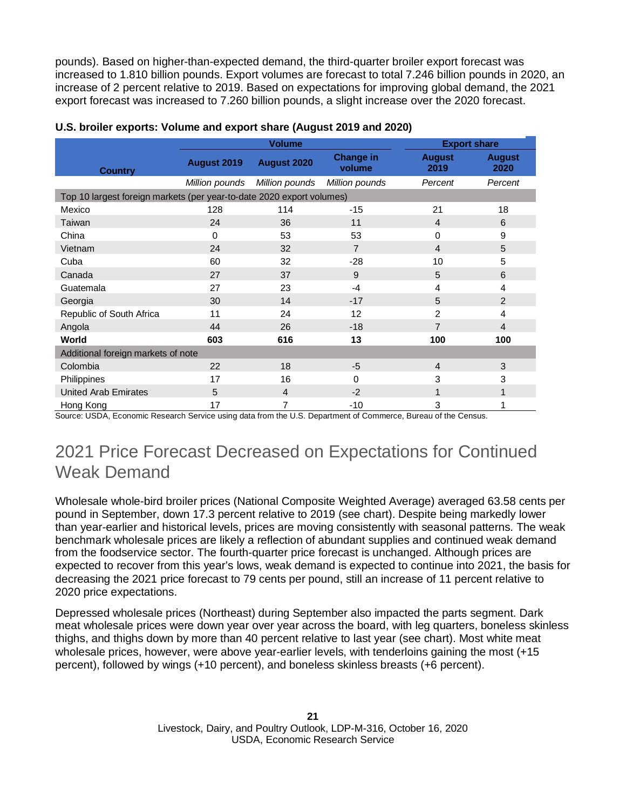pounds). Based on higher-than-expected demand, the third-quarter broiler export forecast was increased to 1.810 billion pounds. Export volumes are forecast to total 7.246 billion pounds in 2020, an increase of 2 percent relative to 2019. Based on expectations for improving global demand, the 2021 export forecast was increased to 7.260 billion pounds, a slight increase over the 2020 forecast.

|                                                                       | <b>Volume</b>  |                |                            | <b>Export share</b>   |                       |  |
|-----------------------------------------------------------------------|----------------|----------------|----------------------------|-----------------------|-----------------------|--|
| <b>Country</b>                                                        | August 2019    | August 2020    | <b>Change in</b><br>volume | <b>August</b><br>2019 | <b>August</b><br>2020 |  |
|                                                                       | Million pounds | Million pounds | Million pounds             | Percent               | Percent               |  |
| Top 10 largest foreign markets (per year-to-date 2020 export volumes) |                |                |                            |                       |                       |  |
| Mexico                                                                | 128            | 114            | $-15$                      | 21                    | 18                    |  |
| Taiwan                                                                | 24             | 36             | 11                         | $\overline{4}$        | 6                     |  |
| China                                                                 | 0              | 53             | 53                         | $\Omega$              | 9                     |  |
| Vietnam                                                               | 24             | 32             | $\overline{7}$             | $\overline{4}$        | 5                     |  |
| Cuba                                                                  | 60             | 32             | $-28$                      | 10                    | 5                     |  |
| Canada                                                                | 27             | 37             | 9                          | 5                     | 6                     |  |
| Guatemala                                                             | 27             | 23             | $-4$                       | 4                     | 4                     |  |
| Georgia                                                               | 30             | 14             | $-17$                      | 5                     | 2                     |  |
| Republic of South Africa                                              | 11             | 24             | 12                         | 2                     | 4                     |  |
| Angola                                                                | 44             | 26             | $-18$                      | $\overline{7}$        | $\overline{4}$        |  |
| World                                                                 | 603            | 616            | 13                         | 100                   | 100                   |  |
| Additional foreign markets of note                                    |                |                |                            |                       |                       |  |
| Colombia                                                              | 22             | 18             | $-5$                       | $\overline{4}$        | 3                     |  |
| Philippines                                                           | 17             | 16             | $\Omega$                   | 3                     | 3                     |  |
| <b>United Arab Emirates</b>                                           | 5              | $\overline{4}$ | $-2$                       | 1                     | 1                     |  |
| Hong Kong                                                             | 17             | 7              | $-10$                      | 3                     | 1                     |  |

#### **U.S. broiler exports: Volume and export share (August 2019 and 2020)**

Source: USDA, Economic Research Service using data from the U.S. Department of Commerce, Bureau of the Census.

### 2021 Price Forecast Decreased on Expectations for Continued Weak Demand

Wholesale whole-bird broiler prices (National Composite Weighted Average) averaged 63.58 cents per pound in September, down 17.3 percent relative to 2019 (see chart). Despite being markedly lower than year-earlier and historical levels, prices are moving consistently with seasonal patterns. The weak benchmark wholesale prices are likely a reflection of abundant supplies and continued weak demand from the foodservice sector. The fourth-quarter price forecast is unchanged. Although prices are expected to recover from this year's lows, weak demand is expected to continue into 2021, the basis for decreasing the 2021 price forecast to 79 cents per pound, still an increase of 11 percent relative to 2020 price expectations.

Depressed wholesale prices (Northeast) during September also impacted the parts segment. Dark meat wholesale prices were down year over year across the board, with leg quarters, boneless skinless thighs, and thighs down by more than 40 percent relative to last year (see chart). Most white meat wholesale prices, however, were above year-earlier levels, with tenderloins gaining the most (+15 percent), followed by wings (+10 percent), and boneless skinless breasts (+6 percent).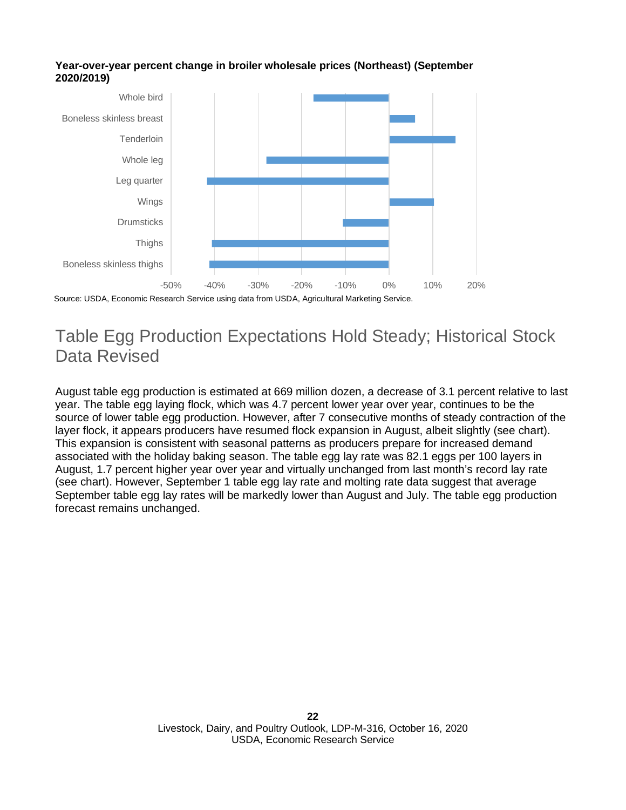



### Table Egg Production Expectations Hold Steady; Historical Stock Data Revised

August table egg production is estimated at 669 million dozen, a decrease of 3.1 percent relative to last year. The table egg laying flock, which was 4.7 percent lower year over year, continues to be the source of lower table egg production. However, after 7 consecutive months of steady contraction of the layer flock, it appears producers have resumed flock expansion in August, albeit slightly (see chart). This expansion is consistent with seasonal patterns as producers prepare for increased demand associated with the holiday baking season. The table egg lay rate was 82.1 eggs per 100 layers in August, 1.7 percent higher year over year and virtually unchanged from last month's record lay rate (see chart). However, September 1 table egg lay rate and molting rate data suggest that average September table egg lay rates will be markedly lower than August and July. The table egg production forecast remains unchanged.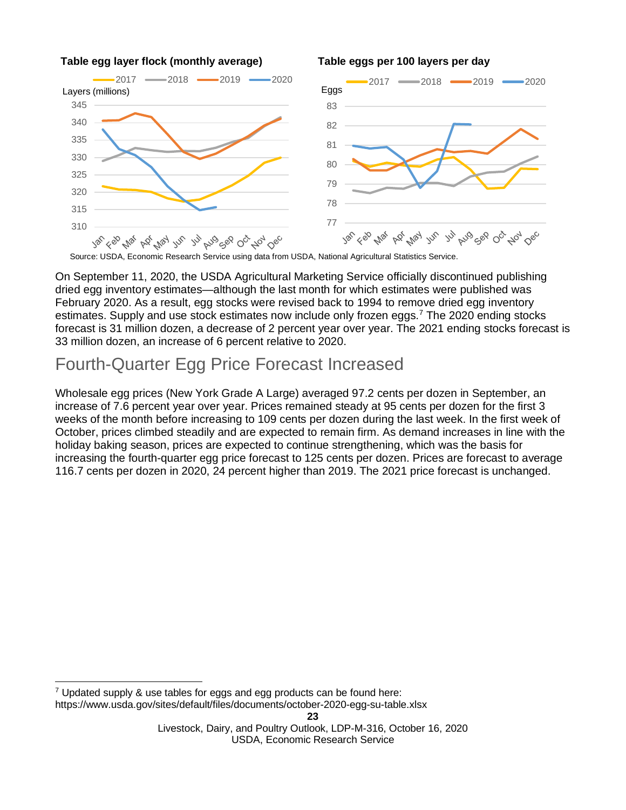

#### **Table egg layer flock (monthly average) Table eggs per 100 layers per day**

Source: USDA, Economic Research Service using data from USDA, National Agricultural Statistics Service.

On September 11, 2020, the USDA Agricultural Marketing Service officially discontinued publishing dried egg inventory estimates—although the last month for which estimates were published was February 2020. As a result, egg stocks were revised back to 1994 to remove dried egg inventory estimates. Supply and use stock estimates now include only frozen eggs.<sup>[7](#page-22-0)</sup> The 2020 ending stocks forecast is 31 million dozen, a decrease of 2 percent year over year. The 2021 ending stocks forecast is 33 million dozen, an increase of 6 percent relative to 2020.

### Fourth-Quarter Egg Price Forecast Increased

Wholesale egg prices (New York Grade A Large) averaged 97.2 cents per dozen in September, an increase of 7.6 percent year over year. Prices remained steady at 95 cents per dozen for the first 3 weeks of the month before increasing to 109 cents per dozen during the last week. In the first week of October, prices climbed steadily and are expected to remain firm. As demand increases in line with the holiday baking season, prices are expected to continue strengthening, which was the basis for increasing the fourth-quarter egg price forecast to 125 cents per dozen. Prices are forecast to average 116.7 cents per dozen in 2020, 24 percent higher than 2019. The 2021 price forecast is unchanged.

<span id="page-22-0"></span> $7$  Updated supply & use tables for eggs and egg products can be found here: https://www.usda.gov/sites/default/files/documents/october-2020-egg-su-table.xlsx

Livestock, Dairy, and Poultry Outlook, LDP-M-316, October 16, 2020 USDA, Economic Research Service

**<sup>23</sup>**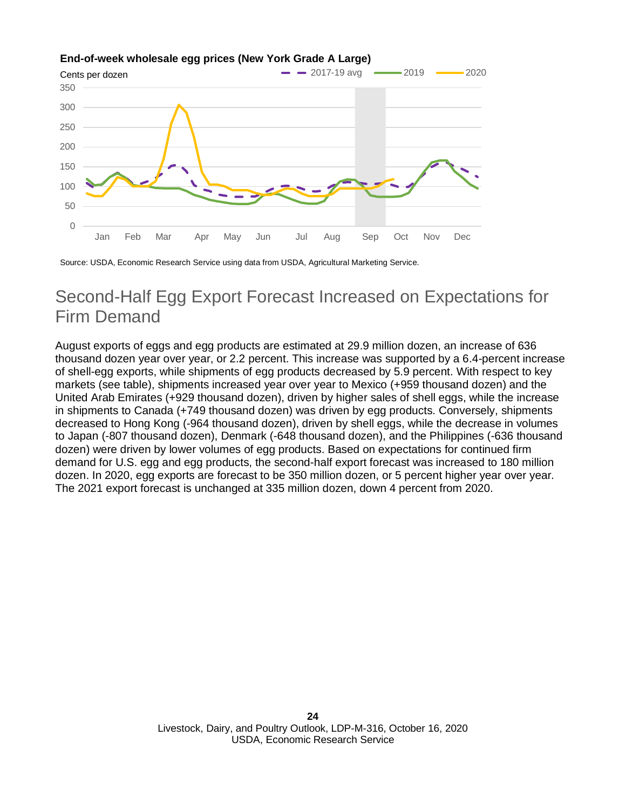



Source: USDA, Economic Research Service using data from USDA, Agricultural Marketing Service.

### Second-Half Egg Export Forecast Increased on Expectations for Firm Demand

August exports of eggs and egg products are estimated at 29.9 million dozen, an increase of 636 thousand dozen year over year, or 2.2 percent. This increase was supported by a 6.4-percent increase of shell-egg exports, while shipments of egg products decreased by 5.9 percent. With respect to key markets (see table), shipments increased year over year to Mexico (+959 thousand dozen) and the United Arab Emirates (+929 thousand dozen), driven by higher sales of shell eggs, while the increase in shipments to Canada (+749 thousand dozen) was driven by egg products. Conversely, shipments decreased to Hong Kong (-964 thousand dozen), driven by shell eggs, while the decrease in volumes to Japan (-807 thousand dozen), Denmark (-648 thousand dozen), and the Philippines (-636 thousand dozen) were driven by lower volumes of egg products. Based on expectations for continued firm demand for U.S. egg and egg products, the second-half export forecast was increased to 180 million dozen. In 2020, egg exports are forecast to be 350 million dozen, or 5 percent higher year over year. The 2021 export forecast is unchanged at 335 million dozen, down 4 percent from 2020.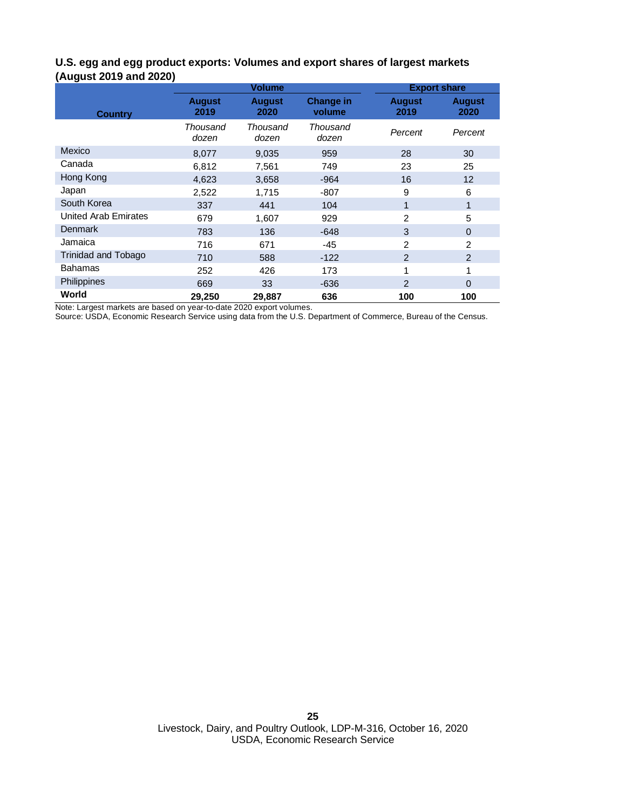#### **U.S. egg and egg product exports: Volumes and export shares of largest markets (August 2019 and 2020)**

|                      | <b>Volume</b>         |                       |                            | <b>Export share</b>   |                       |  |
|----------------------|-----------------------|-----------------------|----------------------------|-----------------------|-----------------------|--|
| <b>Country</b>       | <b>August</b><br>2019 | <b>August</b><br>2020 | <b>Change in</b><br>volume | <b>August</b><br>2019 | <b>August</b><br>2020 |  |
|                      | Thousand<br>dozen     | Thousand<br>dozen     | Thousand<br>dozen          | Percent               | Percent               |  |
| Mexico               | 8,077                 | 9,035                 | 959                        | 28                    | 30                    |  |
| Canada               | 6,812                 | 7,561                 | 749                        | 23                    | 25                    |  |
| Hong Kong            | 4,623                 | 3,658                 | $-964$                     | 16                    | 12 <sup>2</sup>       |  |
| Japan                | 2,522                 | 1,715                 | $-807$                     | 9                     | 6                     |  |
| South Korea          | 337                   | 441                   | 104                        | 1                     | 1                     |  |
| United Arab Emirates | 679                   | 1,607                 | 929                        | $\overline{2}$        | 5                     |  |
| <b>Denmark</b>       | 783                   | 136                   | $-648$                     | 3                     | $\Omega$              |  |
| Jamaica              | 716                   | 671                   | -45                        | 2                     | 2                     |  |
| Trinidad and Tobago  | 710                   | 588                   | $-122$                     | $\overline{2}$        | 2                     |  |
| <b>Bahamas</b>       | 252                   | 426                   | 173                        | 1                     | 1                     |  |
| Philippines          | 669                   | 33                    | $-636$                     | $\mathcal{P}$         | $\Omega$              |  |
| World                | 29,250                | 29,887                | 636                        | 100                   | 100                   |  |

Note: Largest markets are based on year-to-date 2020 export volumes.

Source: USDA, Economic Research Service using data from the U.S. Department of Commerce, Bureau of the Census.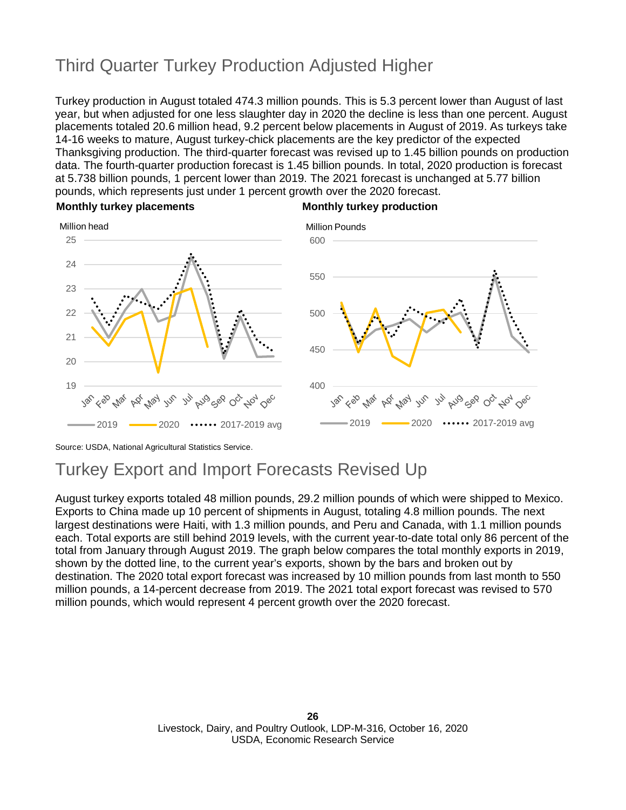## Third Quarter Turkey Production Adjusted Higher

Turkey production in August totaled 474.3 million pounds. This is 5.3 percent lower than August of last year, but when adjusted for one less slaughter day in 2020 the decline is less than one percent. August placements totaled 20.6 million head, 9.2 percent below placements in August of 2019. As turkeys take 14-16 weeks to mature, August turkey-chick placements are the key predictor of the expected Thanksgiving production. The third-quarter forecast was revised up to 1.45 billion pounds on production data. The fourth-quarter production forecast is 1.45 billion pounds. In total, 2020 production is forecast at 5.738 billion pounds, 1 percent lower than 2019. The 2021 forecast is unchanged at 5.77 billion pounds, which represents just under 1 percent growth over the 2020 forecast.



#### **Monthly turkey placements Monthly turkey production**

Source: USDA, National Agricultural Statistics Service.

### Turkey Export and Import Forecasts Revised Up

August turkey exports totaled 48 million pounds, 29.2 million pounds of which were shipped to Mexico. Exports to China made up 10 percent of shipments in August, totaling 4.8 million pounds. The next largest destinations were Haiti, with 1.3 million pounds, and Peru and Canada, with 1.1 million pounds each. Total exports are still behind 2019 levels, with the current year-to-date total only 86 percent of the total from January through August 2019. The graph below compares the total monthly exports in 2019, shown by the dotted line, to the current year's exports, shown by the bars and broken out by destination. The 2020 total export forecast was increased by 10 million pounds from last month to 550 million pounds, a 14-percent decrease from 2019. The 2021 total export forecast was revised to 570 million pounds, which would represent 4 percent growth over the 2020 forecast.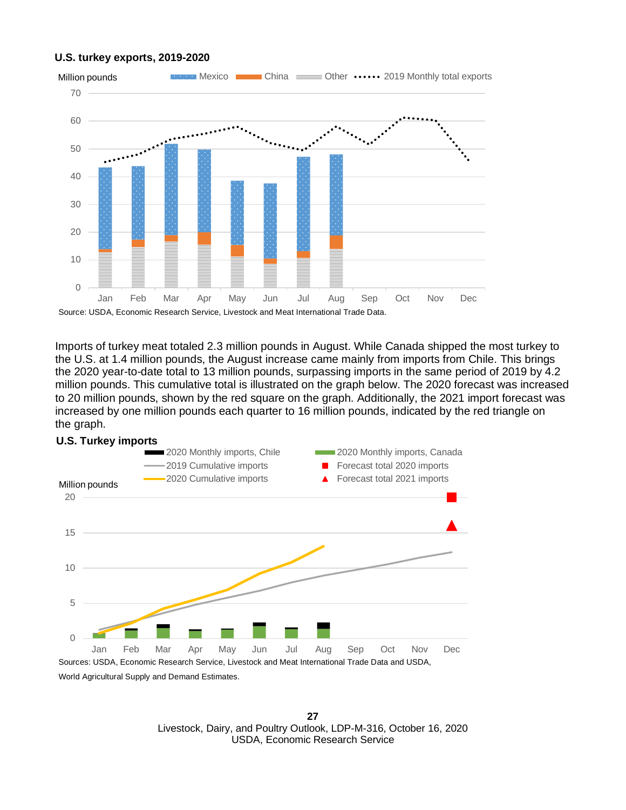#### **U.S. turkey exports, 2019-2020**



Imports of turkey meat totaled 2.3 million pounds in August. While Canada shipped the most turkey to the U.S. at 1.4 million pounds, the August increase came mainly from imports from Chile. This brings the 2020 year-to-date total to 13 million pounds, surpassing imports in the same period of 2019 by 4.2 million pounds. This cumulative total is illustrated on the graph below. The 2020 forecast was increased to 20 million pounds, shown by the red square on the graph. Additionally, the 2021 import forecast was increased by one million pounds each quarter to 16 million pounds, indicated by the red triangle on the graph.



World Agricultural Supply and Demand Estimates.

**27** Livestock, Dairy, and Poultry Outlook, LDP-M-316, October 16, 2020 USDA, Economic Research Service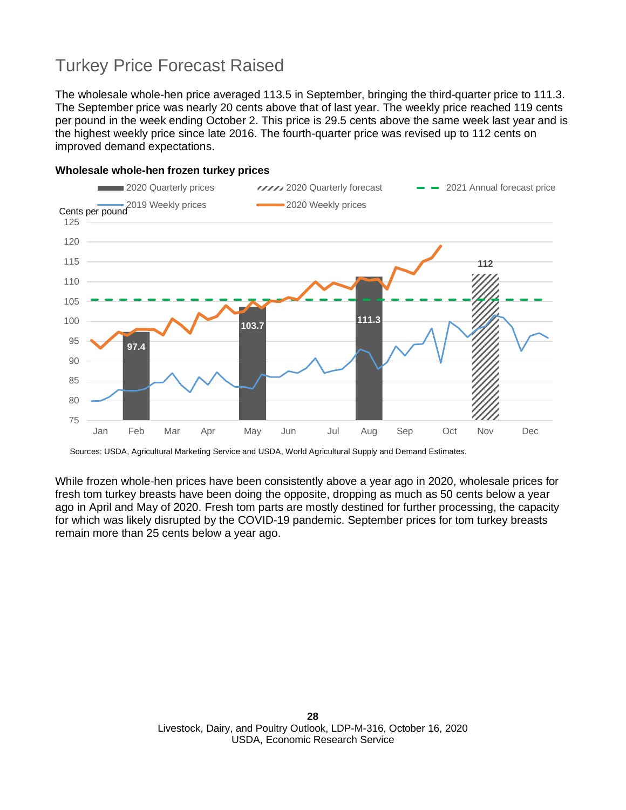### Turkey Price Forecast Raised

The wholesale whole-hen price averaged 113.5 in September, bringing the third-quarter price to 111.3. The September price was nearly 20 cents above that of last year. The weekly price reached 119 cents per pound in the week ending October 2. This price is 29.5 cents above the same week last year and is the highest weekly price since late 2016. The fourth-quarter price was revised up to 112 cents on improved demand expectations.



#### **Wholesale whole-hen frozen turkey prices**

Sources: USDA, Agricultural Marketing Service and USDA, World Agricultural Supply and Demand Estimates.

While frozen whole-hen prices have been consistently above a year ago in 2020, wholesale prices for fresh tom turkey breasts have been doing the opposite, dropping as much as 50 cents below a year ago in April and May of 2020. Fresh tom parts are mostly destined for further processing, the capacity for which was likely disrupted by the COVID-19 pandemic. September prices for tom turkey breasts remain more than 25 cents below a year ago.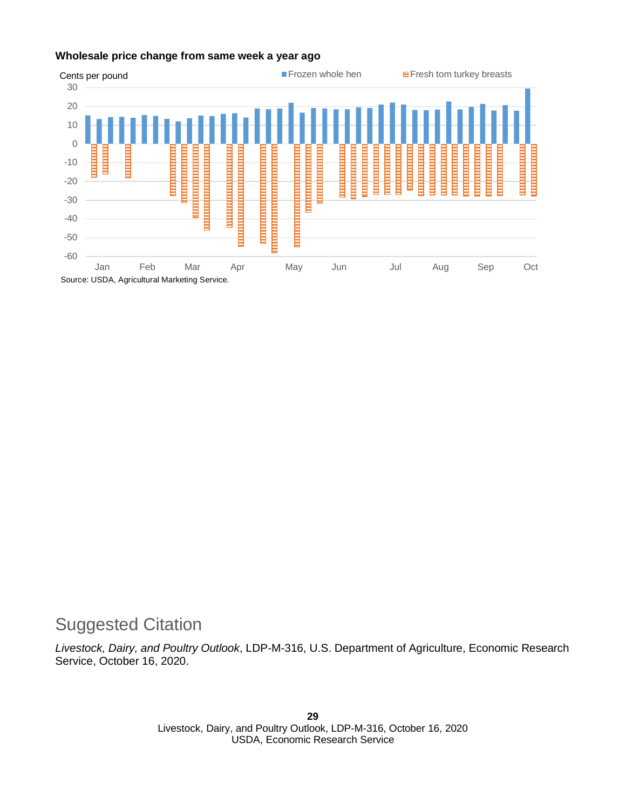#### **Wholesale price change from same week a year ago**



### Suggested Citation

*Livestock, Dairy, and Poultry Outlook*, LDP-M-316, U.S. Department of Agriculture, Economic Research Service, October 16, 2020.